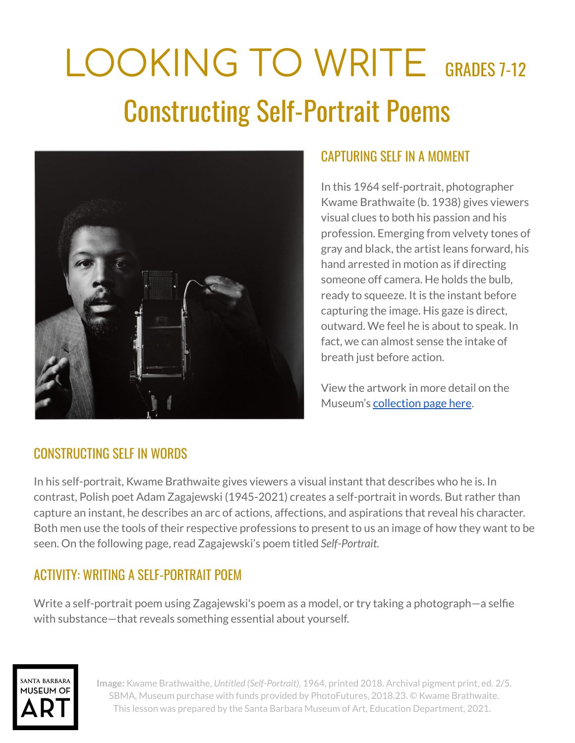# LOOKING TO WRITE GRADES 7-12 Constructing Self-Portrait Poems



#### CAPTURING SELF IN A MOMENT

In this 1964 self-portrait, photographer Kwame Brathwaite (b. 1938) gives viewers visual clues to both his passion and his profession. Emerging from velvety tones of gray and black, the artist leans forward, his hand arrested in motion as if directing someone off camera. He holds the bulb, ready to squeeze. It is the instant before capturing the image. His gaze is direct, outward. We feel he is about to speak. In fact, we can almost sense the intake of breath just before action.

View the artwork in more detail on the Museum's [collection](http://collections.sbma.net/objects/32709/untitled-selfportrait?ctx=eac3a2c0-1aa5-4383-848e-d6ee38189e40&idx=0) page here.

#### CONSTRUCTING SELF IN WORDS

In his self-portrait, Kwame Brathwaite gives viewers a visual instant that describes who he is. In contrast, Polish poet Adam Zagajewski (1945-2021) creates a self-portrait in words. But rather than capture an instant, he describes an arc of actions, affections, and aspirations that reveal his character. Both men use the tools of their respective professions to present to us an image of how they want to be seen. On the following page, read Zagajewski's poem titled *Self-Portrait.*

### ACTIVITY: WRITING A SELF-PORTRAIT POEM

Write a self-portrait poem using Zagajewski's poem as a model, or try taking a photograph—a selfie with substance—that reveals something essential about yourself.



**Image:** Kwame Brathwaithe, *Untitled (Self-Portrait)*, 1964, printed 2018. Archival pigment print, ed. 2/5. SBMA, Museum purchase with funds provided by PhotoFutures, 2018.23. © Kwame Brathwaite. This lesson was prepared by the Santa Barbara Museum of Art, Education Department, 2021.